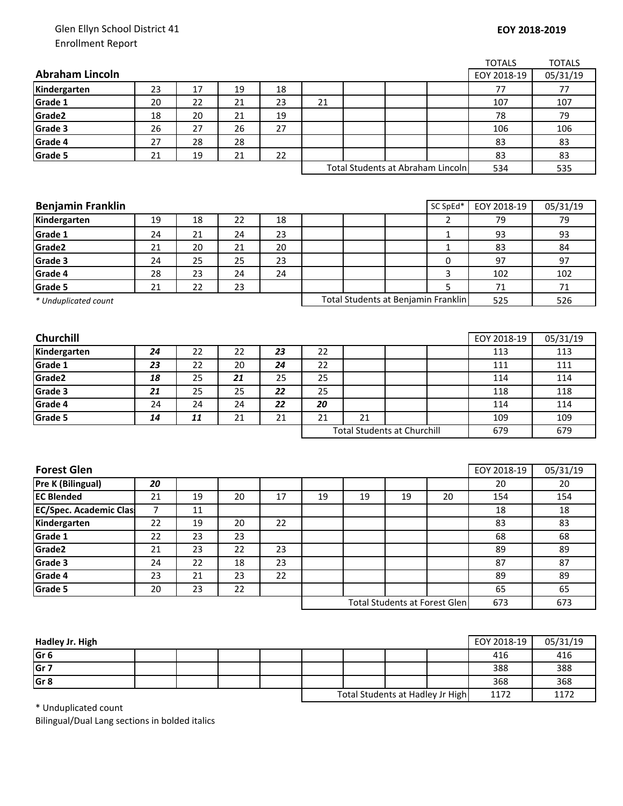## Glen Ellyn School District 41 Enrollment Report

|                                        |                      |          |          |    |                                   |    |                                    |                                      | <b>TOTALS</b> | <b>TOTALS</b> |
|----------------------------------------|----------------------|----------|----------|----|-----------------------------------|----|------------------------------------|--------------------------------------|---------------|---------------|
| <b>Abraham Lincoln</b>                 |                      |          |          |    |                                   |    |                                    |                                      | EOY 2018-19   | 05/31/19      |
| Kindergarten                           | 23                   | 17       | 19       | 18 |                                   |    |                                    |                                      | 77            | 77            |
| Grade 1                                | 20                   | 22       | 21       | 23 | 21                                |    |                                    |                                      | 107           | 107           |
| Grade2                                 | 18                   | 20       | 21       | 19 |                                   |    |                                    |                                      | 78            | 79            |
| Grade 3                                | 26                   | 27       | 26       | 27 |                                   |    |                                    |                                      | 106           | 106           |
| Grade 4                                | 27                   | 28       | 28       |    |                                   |    |                                    |                                      | 83            | 83            |
| Grade 5                                | 21                   | 19       | 21       | 22 |                                   |    |                                    |                                      | 83            | 83            |
|                                        |                      |          |          |    | Total Students at Abraham Lincoln |    |                                    | 534                                  | 535           |               |
|                                        |                      |          |          |    |                                   |    |                                    |                                      |               |               |
|                                        |                      |          |          |    |                                   |    |                                    |                                      |               |               |
| <b>Benjamin Franklin</b>               |                      |          |          |    |                                   |    |                                    | SC SpEd*                             | EOY 2018-19   | 05/31/19      |
| Kindergarten                           | 19                   | 18       | 22       | 18 |                                   |    |                                    | $\overline{2}$                       | 79            | 79            |
| Grade 1                                | 24                   | 21       | 24       | 23 |                                   |    |                                    | $\mathbf{1}$                         | 93            | 93            |
| Grade2                                 | 21                   | 20       | 21       | 20 |                                   |    |                                    | $\mathbf{1}$                         | 83            | 84            |
| Grade 3                                | 24                   | 25       | 25       | 23 |                                   |    |                                    | 0                                    | 97            | 97            |
| Grade 4                                | 28                   | 23       | 24       | 24 |                                   |    |                                    | 3                                    | 102           | 102           |
| Grade 5                                | 21                   | 22       | 23       |    |                                   |    |                                    | 5                                    | 71            | 71            |
| * Unduplicated count                   |                      |          |          |    |                                   |    |                                    | Total Students at Benjamin Franklin  | 525           | 526           |
|                                        |                      |          |          |    |                                   |    |                                    |                                      |               |               |
|                                        |                      |          |          |    |                                   |    |                                    |                                      |               |               |
| Churchill                              |                      |          |          |    |                                   |    |                                    |                                      | EOY 2018-19   | 05/31/19      |
| Kindergarten                           | 24                   | 22       | 22       | 23 | 22                                |    |                                    |                                      | 113           | 113           |
| Grade 1                                | 23                   | 22       | 20       | 24 | 22                                |    |                                    |                                      | 111           | 111           |
| Grade2                                 | 18                   | 25       | 21       | 25 | 25                                |    |                                    |                                      | 114           | 114           |
| Grade 3                                | 21                   | 25       | 25       | 22 | 25                                |    |                                    |                                      | 118           | 118           |
| Grade 4                                | 24                   | 24       | 24       | 22 | 20                                |    |                                    |                                      | 114           | 114           |
| Grade 5                                | 14                   | 11       | 21       | 21 | 21                                | 21 |                                    |                                      | 109           | 109           |
|                                        |                      |          |          |    |                                   |    | <b>Total Students at Churchill</b> |                                      | 679           | 679           |
|                                        |                      |          |          |    |                                   |    |                                    |                                      |               |               |
|                                        |                      |          |          |    |                                   |    |                                    |                                      |               |               |
| <b>Forest Glen</b>                     |                      |          |          |    |                                   |    |                                    |                                      | EOY 2018-19   | 05/31/19      |
| Pre K (Bilingual)<br><b>EC Blended</b> | 20                   | 19       |          | 17 |                                   |    |                                    |                                      | 20            | 20            |
| <b>EC/Spec. Academic Clas</b>          | 21<br>$\overline{7}$ | 11       | 20       |    | 19                                | 19 | 19                                 | 20                                   | 154<br>18     | 154<br>18     |
|                                        |                      |          |          |    |                                   |    |                                    |                                      |               |               |
| Kindergarten<br>Grade 1                | 22<br>22             | 19<br>23 | 20<br>23 | 22 |                                   |    |                                    |                                      | 83<br>68      | 83            |
| Grade2                                 | 21                   | 23       | 22       | 23 |                                   |    |                                    |                                      | 89            | 68<br>89      |
| Grade 3                                | 24                   | 22       | 18       | 23 |                                   |    |                                    |                                      | 87            | 87            |
|                                        |                      |          |          | 22 |                                   |    |                                    |                                      |               |               |
| Grade 4                                | 23                   | 21       | 23       |    |                                   |    |                                    |                                      | 89            | 89            |
| Grade 5                                | 20                   | 23       | 22       |    |                                   |    |                                    |                                      | 65            | 65            |
|                                        |                      |          |          |    |                                   |    |                                    | <b>Total Students at Forest Glen</b> | 673           | 673           |
|                                        |                      |          |          |    |                                   |    |                                    |                                      |               |               |

| Hadley Jr. High |  |  |                                  |  |      | EOY 2018-19 | 05/31/19 |
|-----------------|--|--|----------------------------------|--|------|-------------|----------|
| Gr <sub>6</sub> |  |  |                                  |  |      | 416         | 416      |
| Gr <sub>7</sub> |  |  |                                  |  |      | 388         | 388      |
| Gr <sub>8</sub> |  |  |                                  |  |      | 368         | 368      |
|                 |  |  | Total Students at Hadley Jr High |  | 1172 | 1172        |          |

\* Unduplicated count

Bilingual/Dual Lang sections in bolded italics